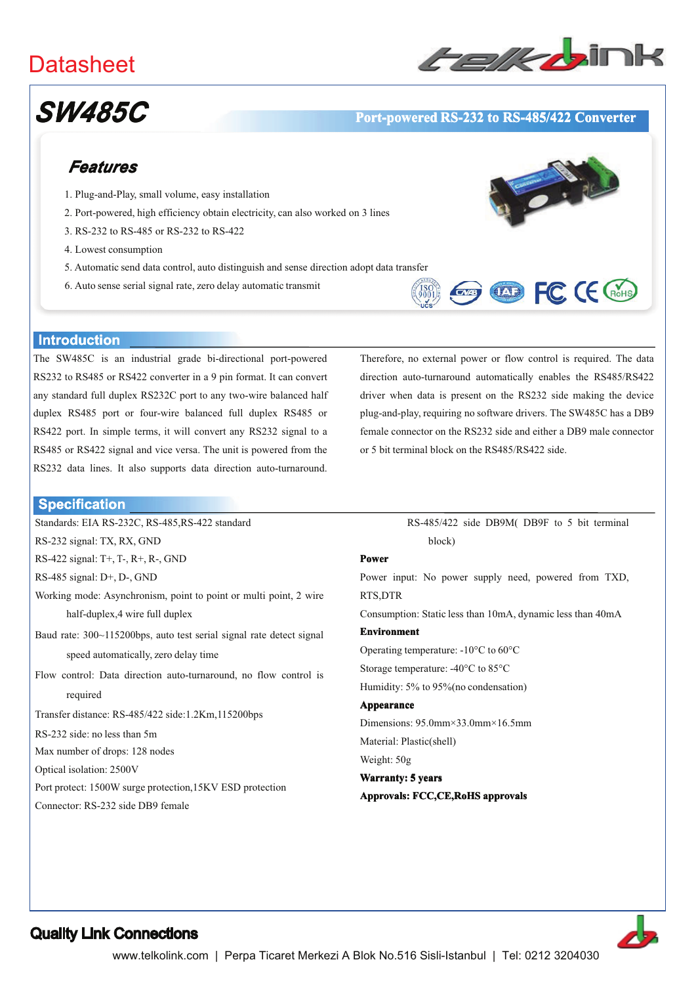## **Datasheet**



# **SW485C**

#### Port-powered RS-232 to RS-485/422 Converter

## Features

- 1. Plug-and-Play, small volume, easy installation
- 2. Port-powered, high efficiency obtain electricity, can also worked on 3 lines
- 3. RS-232 to RS-485 or RS-232 to RS-422
- 4. Lowest consumption
- 5. Automatic send data control, auto distinguish and sense direction adopt data transfer
- 6. Auto sense serial signal rate, zero delay automatic transmit



**Exp COD** FC CE CROHS

#### **Introduction**

**Specification** 

RS-232 signal: TX, RX, GND

RS-485 signal: D+, D-, GND

required

RS-232 side: no less than 5m

Optical isolation: 2500V

Max number of drops: 128 nodes

Connector: RS-232 side DB9 female

RS-422 signal: T+, T-, R+, R-, GND

half-duplex, 4 wire full duplex

speed automatically, zero delay time

Transfer distance: RS-485/422 side:1.2Km,115200bps

Port protect: 1500W surge protection, 15KV ESD protection

The SW485C is an industrial grade bi-directional port-powered RS232 to RS485 or RS422 converter in a 9 pin format. It can convert any standard full duplex RS232C port to any two-wire balanced half duplex RS485 port or four-wire balanced full duplex RS485 or RS422 port. In simple terms, it will convert any RS232 signal to a RS485 or RS422 signal and vice versa. The unit is powered from the RS232 data lines. It also supports data direction auto-turnaround.

Working mode: Asynchronism, point to point or multi point, 2 wire

Baud rate: 300~115200bps, auto test serial signal rate detect signal

Flow control: Data direction auto-turnaround, no flow control is

Standards: EIA RS-232C, RS-485, RS-422 standard

# RS-485/422 side DB9M(DB9F to 5 bit terminal

Therefore, no external power or flow control is required. The data

direction auto-turnaround automatically enables the RS485/RS422

driver when data is present on the RS232 side making the device

plug-and-play, requiring no software drivers. The SW485C has a DB9

female connector on the RS232 side and either a DB9 male connector

block)

or 5 bit terminal block on the RS485/RS422 side.

#### **Power**

Power input: No power supply need, powered from TXD, RTS,DTR

Consumption: Static less than 10mA, dynamic less than 40mA

#### **Environment**

Operating temperature:  $-10^{\circ}$ C to 60 $^{\circ}$ C

Storage temperature: -40°C to 85°C

Humidity: 5% to 95% (no condensation)

Appearance Dimensions: 95.0mm×33.0mm×16.5mm Material: Plastic(shell) Weight: 50g

### **Warranty: 5 years** Approvals: FCC,CE,RoHS approvals



#### **Quality Link Connections**